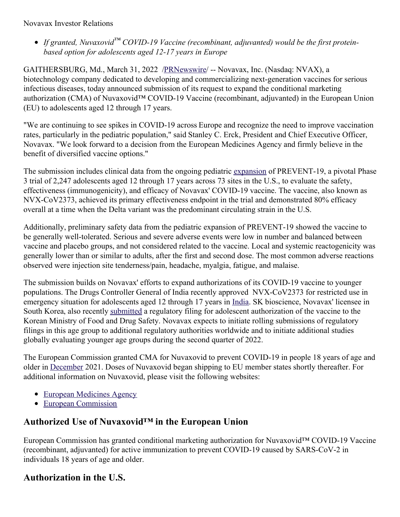*If granted, Nuvaxovid™ COVID-19 Vaccine (recombinant, adjuvanted) would be the first proteinbased option for adolescents aged 12-17 years in Europe*

GAITHERSBURG, Md., March 31, 2022 [/PRNewswire](http://www.prnewswire.com/)/ -- Novavax, Inc. (Nasdaq: NVAX), a biotechnology company dedicated to developing and commercializing next-generation vaccines for serious infectious diseases, today announced submission of its request to expand the conditional marketing authorization (CMA) of Nuvaxovid<sup>™</sup> COVID-19 Vaccine (recombinant, adjuvanted) in the European Union (EU) to adolescents aged 12 through 17 years.

"We are continuing to see spikes in COVID-19 across Europe and recognize the need to improve vaccination rates, particularly in the pediatric population," said Stanley C. Erck, President and Chief Executive Officer, Novavax. "We look forward to a decision from the European Medicines Agency and firmly believe in the benefit of diversified vaccine options."

The submission includes clinical data from the ongoing pediatric [expansion](https://c212.net/c/link/?t=0&l=en&o=3490095-1&h=3148102427&u=https%3A%2F%2Fir.novavax.com%2F2022-02-10-Novavax-Announces-Positive-Results-of-COVID-19-Vaccine-in-Pediatric-Population-of-PREVENT-19-Phase-3-Clinical-Trial&a=expansion) of PREVENT-19, a pivotal Phase 3 trial of 2,247 adolescents aged 12 through 17 years across 73 sites in the U.S., to evaluate the safety, effectiveness (immunogenicity), and efficacy of Novavax' COVID-19 vaccine. The vaccine, also known as NVX-CoV2373, achieved its primary effectiveness endpoint in the trial and demonstrated 80% efficacy overall at a time when the Delta variant was the predominant circulating strain in the U.S.

Additionally, preliminary safety data from the pediatric expansion of PREVENT-19 showed the vaccine to be generally well-tolerated. Serious and severe adverse events were low in number and balanced between vaccine and placebo groups, and not considered related to the vaccine. Local and systemic reactogenicity was generally lower than or similar to adults, after the first and second dose. The most common adverse reactions observed were injection site tenderness/pain, headache, myalgia, fatigue, and malaise.

The submission builds on Novavax' efforts to expand authorizations of its COVID-19 vaccine to younger populations. The Drugs Controller General of India recently approved NVX-CoV2373 for restricted use in emergency situation for adolescents aged 12 through 17 years in [India](https://c212.net/c/link/?t=0&l=en&o=3490095-1&h=3066642483&u=https%3A%2F%2Fir.novavax.com%2F2022-03-22-Novavax-and-Serum-Institute-of-India-Announce-First-Emergency-Use-Authorization-of-Novavax-COVID-19-Vaccine-in-Adolescents-12-to-18-in-India&a=India). SK bioscience, Novavax' licensee in South Korea, also recently [submitted](https://c212.net/c/link/?t=0&l=en&o=3490095-1&h=33394943&u=https%3A%2F%2Fwww.skbioscience.co.kr%2Fen%2Fnews%2Fnews_01_01%3Fmode%3Dview%26id%3D118%26&a=submitted) a regulatory filing for adolescent authorization of the vaccine to the Korean Ministry of Food and Drug Safety. Novavax expects to initiate rolling submissions of regulatory filings in this age group to additional regulatory authorities worldwide and to initiate additional studies globally evaluating younger age groups during the second quarter of 2022.

The European Commission granted CMA for Nuvaxovid to prevent COVID-19 in people 18 years of age and older in [December](https://c212.net/c/link/?t=0&l=en&o=3490095-1&h=3782079808&u=https%3A%2F%2Fir.novavax.com%2F2021-12-20-European-Commission-Grants-Conditional-Marketing-Authorization-for-Novavax-COVID-19-Vaccine&a=December) 2021. Doses of Nuvaxovid began shipping to EU member states shortly thereafter. For additional information on Nuvaxovid, please visit the following websites:

- European [Medicines](https://c212.net/c/link/?t=0&l=en&o=3490095-1&h=1545350530&u=https%3A%2F%2Fwww.ema.europa.eu%2Fen%2Fmedicines%2Fhuman%2FEPAR%2Fnuvaxovid&a=European+Medicines+Agency) Agency
- European [Commission](https://c212.net/c/link/?t=0&l=en&o=3490095-1&h=2784477625&u=https%3A%2F%2Fec.europa.eu%2Fcommission%2Fpresscorner%2Fdetail%2Fen%2Fip_21_6966&a=European+Commission)

# **Authorized Use of Nuvaxovid™ in the European Union**

European Commission has granted conditional marketing authorization for Nuvaxovid™ COVID-19 Vaccine (recombinant, adjuvanted) for active immunization to prevent COVID-19 caused by SARS-CoV-2 in individuals 18 years of age and older.

### **Authorization in the U.S.**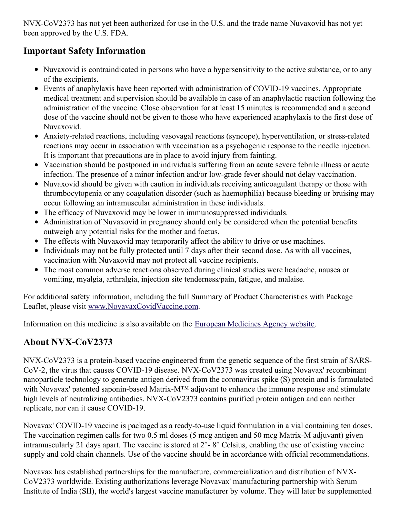NVX-CoV2373 has not yet been authorized for use in the U.S. and the trade name Nuvaxovid has not yet been approved by the U.S. FDA.

# **Important Safety Information**

- Nuvaxovid is contraindicated in persons who have a hypersensitivity to the active substance, or to any of the excipients.
- Events of anaphylaxis have been reported with administration of COVID-19 vaccines. Appropriate medical treatment and supervision should be available in case of an anaphylactic reaction following the administration of the vaccine. Close observation for at least 15 minutes is recommended and a second dose of the vaccine should not be given to those who have experienced anaphylaxis to the first dose of Nuvaxovid.
- Anxiety-related reactions, including vasovagal reactions (syncope), hyperventilation, or stress-related reactions may occur in association with vaccination as a psychogenic response to the needle injection. It is important that precautions are in place to avoid injury from fainting.
- Vaccination should be postponed in individuals suffering from an acute severe febrile illness or acute infection. The presence of a minor infection and/or low-grade fever should not delay vaccination.
- Nuvaxovid should be given with caution in individuals receiving anticoagulant therapy or those with thrombocytopenia or any coagulation disorder (such as haemophilia) because bleeding or bruising may occur following an intramuscular administration in these individuals.
- The efficacy of Nuvaxovid may be lower in immunosuppressed individuals.
- Administration of Nuvaxovid in pregnancy should only be considered when the potential benefits outweigh any potential risks for the mother and foetus.
- The effects with Nuvaxovid may temporarily affect the ability to drive or use machines.
- Individuals may not be fully protected until 7 days after their second dose. As with all vaccines, vaccination with Nuvaxovid may not protect all vaccine recipients.
- The most common adverse reactions observed during clinical studies were headache, nausea or vomiting, myalgia, arthralgia, injection site tenderness/pain, fatigue, and malaise.

For additional safety information, including the full Summary of Product Characteristics with Package Leaflet, please visit [www.NovavaxCovidVaccine.com](https://c212.net/c/link/?t=0&l=en&o=3490095-1&h=3508915085&u=http%3A%2F%2Fwww.novavaxcovidvaccine.com%2F&a=www.NovavaxCovidVaccine.com).

Information on this medicine is also available on the European [Medicines](https://c212.net/c/link/?t=0&l=en&o=3490095-1&h=3475057535&u=https%3A%2F%2Fwww.ema.europa.eu%2Fen%2Fdocuments%2Fproduct-information%2Fnuvaxovid-epar-product-information_en.pdf&a=European+Medicines+Agency+website) Agency website.

# **About NVX-CoV2373**

NVX-CoV2373 is a protein-based vaccine engineered from the genetic sequence of the first strain of SARS-CoV-2, the virus that causes COVID-19 disease. NVX-CoV2373 was created using Novavax' recombinant nanoparticle technology to generate antigen derived from the coronavirus spike (S) protein and is formulated with Novavax' patented saponin-based Matrix-M™ adjuvant to enhance the immune response and stimulate high levels of neutralizing antibodies. NVX-CoV2373 contains purified protein antigen and can neither replicate, nor can it cause COVID-19.

Novavax' COVID-19 vaccine is packaged as a ready-to-use liquid formulation in a vial containing ten doses. The vaccination regimen calls for two 0.5 ml doses (5 mcg antigen and 50 mcg Matrix-M adjuvant) given intramuscularly 21 days apart. The vaccine is stored at 2°- 8° Celsius, enabling the use of existing vaccine supply and cold chain channels. Use of the vaccine should be in accordance with official recommendations.

Novavax has established partnerships for the manufacture, commercialization and distribution of NVX-CoV2373 worldwide. Existing authorizations leverage Novavax' manufacturing partnership with Serum Institute of India (SII), the world's largest vaccine manufacturer by volume. They will later be supplemented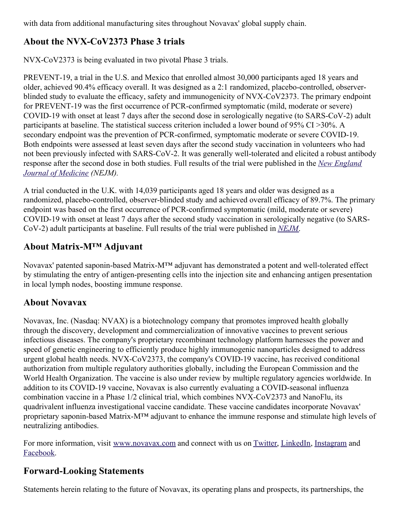with data from additional manufacturing sites throughout Novavax' global supply chain.

# **About the NVX-CoV2373 Phase 3 trials**

NVX-CoV2373 is being evaluated in two pivotal Phase 3 trials.

PREVENT-19, a trial in the U.S. and Mexico that enrolled almost 30,000 participants aged 18 years and older, achieved 90.4% efficacy overall. It was designed as a 2:1 randomized, placebo-controlled, observerblinded study to evaluate the efficacy, safety and immunogenicity of NVX-CoV2373. The primary endpoint for PREVENT-19 was the first occurrence of PCR-confirmed symptomatic (mild, moderate or severe) COVID-19 with onset at least 7 days after the second dose in serologically negative (to SARS-CoV-2) adult participants at baseline. The statistical success criterion included a lower bound of 95% CI >30%. A secondary endpoint was the prevention of PCR-confirmed, symptomatic moderate or severe COVID-19. Both endpoints were assessed at least seven days after the second study vaccination in volunteers who had not been previously infected with SARS-CoV-2. It was generally well-tolerated and elicited a robust antibody response after the second dose in both studies. Full results of the trial were [published](https://c212.net/c/link/?t=0&l=en&o=3490095-1&h=276014382&u=https%3A%2F%2Fc212.net%2Fc%2Flink%2F%3Ft%3D0%26l%3Den%26o%3D3440781-1%26h%3D467849857%26u%3Dhttps%253A%252F%252Fwww.nejm.org%252Fdoi%252Ffull%252F10.1056%252FNEJMoa2116185%253Fquery%253Dfeatured_home%26a%3DNew%2BEngland%2BJournal%2Bof%2BMedicine&a=New+England+Journal+of+Medicine) in the *New England Journal of Medicine (NEJM).*

A trial conducted in the U.K. with 14,039 participants aged 18 years and older was designed as a randomized, placebo-controlled, observer-blinded study and achieved overall efficacy of 89.7%. The primary endpoint was based on the first occurrence of PCR-confirmed symptomatic (mild, moderate or severe) COVID-19 with onset at least 7 days after the second study vaccination in serologically negative (to SARS-CoV-2) adult participants at baseline. Full results of the trial were published in *[NEJM](https://c212.net/c/link/?t=0&l=en&o=3490095-1&h=4093184113&u=https%3A%2F%2Fc212.net%2Fc%2Flink%2F%3Ft%3D0%26l%3Den%26o%3D3440781-1%26h%3D3617137863%26u%3Dhttps%253A%252F%252Fwww.nejm.org%252Fdoi%252Ffull%252F10.1056%252FNEJMoa2107659%26a%3DNEJM&a=NEJM)*.

# **About Matrix-M™ Adjuvant**

Novavax' patented saponin-based Matrix-M™ adjuvant has demonstrated a potent and well-tolerated effect by stimulating the entry of antigen-presenting cells into the injection site and enhancing antigen presentation in local lymph nodes, boosting immune response.

### **About Novavax**

Novavax, Inc. (Nasdaq: NVAX) is a biotechnology company that promotes improved health globally through the discovery, development and commercialization of innovative vaccines to prevent serious infectious diseases. The company's proprietary recombinant technology platform harnesses the power and speed of genetic engineering to efficiently produce highly immunogenic nanoparticles designed to address urgent global health needs. NVX-CoV2373, the company's COVID-19 vaccine, has received conditional authorization from multiple regulatory authorities globally, including the European Commission and the World Health Organization. The vaccine is also under review by multiple regulatory agencies worldwide. In addition to its COVID-19 vaccine, Novavax is also currently evaluating a COVID-seasonal influenza combination vaccine in a Phase 1/2 clinical trial, which combines NVX-CoV2373 and NanoFlu, its quadrivalent influenza investigational vaccine candidate. These vaccine candidates incorporate Novavax' proprietary saponin-based Matrix-M™ adjuvant to enhance the immune response and stimulate high levels of neutralizing antibodies.

For more information, visit [www.novavax.com](https://c212.net/c/link/?t=0&l=en&o=3490095-1&h=2841185550&u=http%3A%2F%2Fwww.novavax.com%2F&a=www.novavax.com) and connect with us on [Twitter](https://c212.net/c/link/?t=0&l=en&o=3490095-1&h=1476569033&u=https%3A%2F%2Fc212.net%2Fc%2Flink%2F%3Ft%3D0%26l%3Den%26o%3D3399869-1%26h%3D2040794221%26u%3Dhttps%253A%252F%252Fc212.net%252Fc%252Flink%252F%253Ft%253D0%2526l%253Den%2526o%253D3260461-1%2526h%253D1316526774%2526u%253Dhttps%25253A%25252F%25252Fc212.net%25252Fc%25252Flink%25252F%25253Ft%25253D0%252526l%25253Den%252526o%25253D3158017-1%252526h%25253D500821283%252526u%25253Dhttps%2525253A%2525252F%2525252Ftwitter.com%2525252FNovavax%252526a%25253DTwitter%2526a%253DTwitter%26a%3DTwitter&a=Twitter), [LinkedIn](https://c212.net/c/link/?t=0&l=en&o=3490095-1&h=2518044470&u=https%3A%2F%2Fc212.net%2Fc%2Flink%2F%3Ft%3D0%26l%3Den%26o%3D3399869-1%26h%3D27315898%26u%3Dhttps%253A%252F%252Fc212.net%252Fc%252Flink%252F%253Ft%253D0%2526l%253Den%2526o%253D3260461-1%2526h%253D1508558197%2526u%253Dhttps%25253A%25252F%25252Fc212.net%25252Fc%25252Flink%25252F%25253Ft%25253D0%252526l%25253Den%252526o%25253D3158017-1%252526h%25253D3702938248%252526u%25253Dhttps%2525253A%2525252F%2525252Fwww.linkedin.com%2525252Fcompany%2525252Fnovavax%2525252F%252526a%25253DLinkedIn%2526a%253DLinkedIn%26a%3DLinkedIn&a=LinkedIn), [Instagram](https://c212.net/c/link/?t=0&l=en&o=3490095-1&h=3332845637&u=https%3A%2F%2Fc212.net%2Fc%2Flink%2F%3Ft%3D0%26l%3Den%26o%3D3399869-1%26h%3D2634683834%26u%3Dhttps%253A%252F%252Fc212.net%252Fc%252Flink%252F%253Ft%253D0%2526l%253Den%2526o%253D3367039-1%2526h%253D3348182013%2526u%253Dhttps%25253A%25252F%25252Fwww.instagram.com%25252Fnovavax%25252F%2526a%253DInstagram%26a%3DInstagram&a=Instagram) and [Facebook](https://c212.net/c/link/?t=0&l=en&o=3490095-1&h=3498009332&u=https%3A%2F%2Fc212.net%2Fc%2Flink%2F%3Ft%3D0%26l%3Den%26o%3D3399869-1%26h%3D1555903536%26u%3Dhttps%253A%252F%252Fwww.facebook.com%252FNovavax%252F%26a%3DFacebook&a=Facebook).

### **Forward-Looking Statements**

Statements herein relating to the future of Novavax, its operating plans and prospects, its partnerships, the